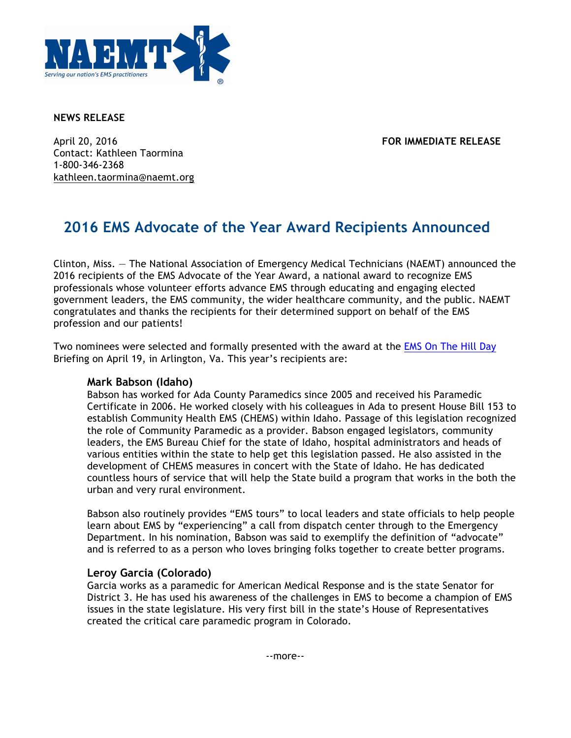

#### **NEWS RELEASE**

April 20, 2016 **FOR IMMEDIATE RELEASE** Contact: Kathleen Taormina 1-800-346-2368 kathleen.taormina@naemt.org

# **2016 EMS Advocate of the Year Award Recipients Announced**

Clinton, Miss. — The National Association of Emergency Medical Technicians (NAEMT) announced the 2016 recipients of the EMS Advocate of the Year Award, a national award to recognize EMS professionals whose volunteer efforts advance EMS through educating and engaging elected government leaders, the EMS community, the wider healthcare community, and the public. NAEMT congratulates and thanks the recipients for their determined support on behalf of the EMS profession and our patients!

Two nominees were selected and formally presented with the award at the EMS On The Hill Day Briefing on April 19, in Arlington, Va. This year's recipients are:

## **Mark Babson (Idaho)**

Babson has worked for Ada County Paramedics since 2005 and received his Paramedic Certificate in 2006. He worked closely with his colleagues in Ada to present House Bill 153 to establish Community Health EMS (CHEMS) within Idaho. Passage of this legislation recognized the role of Community Paramedic as a provider. Babson engaged legislators, community leaders, the EMS Bureau Chief for the state of Idaho, hospital administrators and heads of various entities within the state to help get this legislation passed. He also assisted in the development of CHEMS measures in concert with the State of Idaho. He has dedicated countless hours of service that will help the State build a program that works in the both the urban and very rural environment.

Babson also routinely provides "EMS tours" to local leaders and state officials to help people learn about EMS by "experiencing" a call from dispatch center through to the Emergency Department. In his nomination, Babson was said to exemplify the definition of "advocate" and is referred to as a person who loves bringing folks together to create better programs.

## **Leroy Garcia (Colorado)**

Garcia works as a paramedic for American Medical Response and is the state Senator for District 3. He has used his awareness of the challenges in EMS to become a champion of EMS issues in the state legislature. His very first bill in the state's House of Representatives created the critical care paramedic program in Colorado.